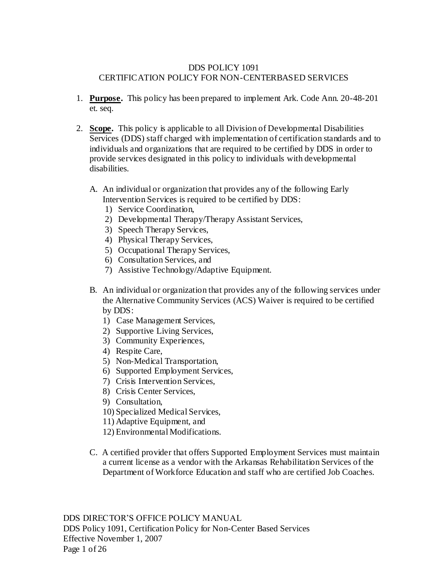### DDS POLICY 1091 CERTIFICATION POLICY FOR NON-CENTERBASED SERVICES

- 1. **Purpose.** This policy has been prepared to implement Ark. Code Ann. 20-48-201 et. seq.
- 2. **Scope.** This policy is applicable to all Division of Developmental Disabilities Services (DDS) staff charged with implementation of certification standards and to individuals and organizations that are required to be certified by DDS in order to provide services designated in this policy to individuals with developmental disabilities.
	- A. An individual or organization that provides any of the following Early Intervention Services is required to be certified by DDS:
		- 1) Service Coordination,
		- 2) Developmental Therapy/Therapy Assistant Services,
		- 3) Speech Therapy Services,
		- 4) Physical Therapy Services,
		- 5) Occupational Therapy Services,
		- 6) Consultation Services, and
		- 7) Assistive Technology/Adaptive Equipment.
	- B. An individual or organization that provides any of the following services under the Alternative Community Services (ACS) Waiver is required to be certified by DDS:
		- 1) Case Management Services,
		- 2) Supportive Living Services,
		- 3) Community Experiences,
		- 4) Respite Care,
		- 5) Non-Medical Transportation,
		- 6) Supported Employment Services,
		- 7) Crisis Intervention Services,
		- 8) Crisis Center Services,
		- 9) Consultation,
		- 10) Specialized Medical Services,
		- 11) Adaptive Equipment, and
		- 12) Environmental Modifications.
	- C. A certified provider that offers Supported Employment Services must maintain a current license as a vendor with the Arkansas Rehabilitation Services of the Department of Workforce Education and staff who are certified Job Coaches.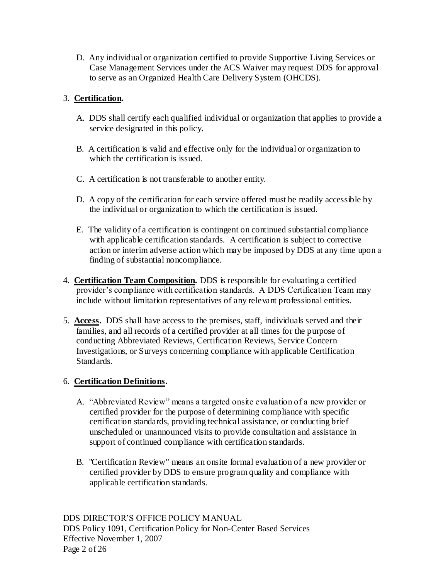D. Any individual or organization certified to provide Supportive Living Services or Case Management Services under the ACS Waiver may request DDS for approval to serve as an Organized Health Care Delivery System (OHCDS).

# 3. **Certification.**

- A. DDS shall certify each qualified individual or organization that applies to provide a service designated in this policy.
- B. A certification is valid and effective only for the individual or organization to which the certification is issued.
- C. A certification is not transferable to another entity.
- D. A copy of the certification for each service offered must be readily accessible by the individual or organization to which the certification is issued.
- E. The validity of a certification is contingent on continued substantial compliance with applicable certification standards. A certification is subject to corrective action or interim adverse action which may be imposed by DDS at any time upon a finding of substantial noncompliance.
- 4. **Certification Team Composition.** DDS is responsible for evaluating a certified provider's compliance with certification standards. A DDS Certification Team may include without limitation representatives of any relevant professional entities.
- 5. **Access.** DDS shall have access to the premises, staff, individuals served and their families, and all records of a certified provider at all times for the purpose of conducting Abbreviated Reviews, Certification Reviews, Service Concern Investigations, or Surveys concerning compliance with applicable Certification Standards.

# 6. **Certification Definitions.**

- A. "Abbreviated Review" means a targeted onsite evaluation of a new provider or certified provider for the purpose of determining compliance with specific certification standards, providing technical assistance, or conducting brief unscheduled or unannounced visits to provide consultation and assistance in support of continued compliance with certification standards.
- B. "Certification Review" means an onsite formal evaluation of a new provider or certified provider by DDS to ensure program quality and compliance with applicable certification standards.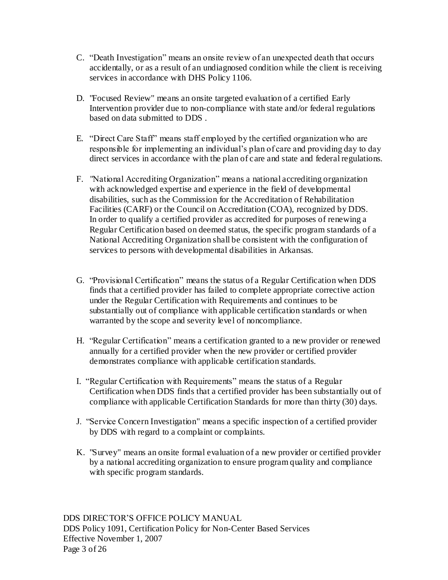- C. "Death Investigation" means an onsite review of an unexpected death that occurs accidentally, or as a result of an undiagnosed condition while the client is receiving services in accordance with DHS Policy 1106.
- D. "Focused Review" means an onsite targeted evaluation of a certified Early Intervention provider due to non-compliance with state and/or federal regulations based on data submitted to DDS .
- E. "Direct Care Staff" means staff employed by the certified organization who are responsible for implementing an individual's plan of care and providing day to day direct services in accordance with the plan of care and state and federal regulations.
- F. "National Accrediting Organization" means a national accrediting organization with acknowledged expertise and experience in the field of developmental disabilities, such as the Commission for the Accreditation of Rehabilitation Facilities (CARF) or the Council on Accreditation (COA), recognized by DDS. In order to qualify a certified provider as accredited for purposes of renewing a Regular Certification based on deemed status, the specific program standards of a National Accrediting Organization shall be consistent with the configuration of services to persons with developmental disabilities in Arkansas.
- G. "Provisional Certification" means the status of a Regular Certification when DDS finds that a certified provider has failed to complete appropriate corrective action under the Regular Certification with Requirements and continues to be substantially out of compliance with applicable certification standards or when warranted by the scope and severity level of noncompliance.
- H. "Regular Certification" means a certification granted to a new provider or renewed annually for a certified provider when the new provider or certified provider demonstrates compliance with applicable certification standards.
- I. "Regular Certification with Requirements" means the status of a Regular Certification when DDS finds that a certified provider has been substantially out of compliance with applicable Certification Standards for more than thirty (30) days.
- J. "Service Concern Investigation" means a specific inspection of a certified provider by DDS with regard to a complaint or complaints.
- K. "Survey" means an onsite formal evaluation of a new provider or certified provider by a national accrediting organization to ensure program quality and compliance with specific program standards.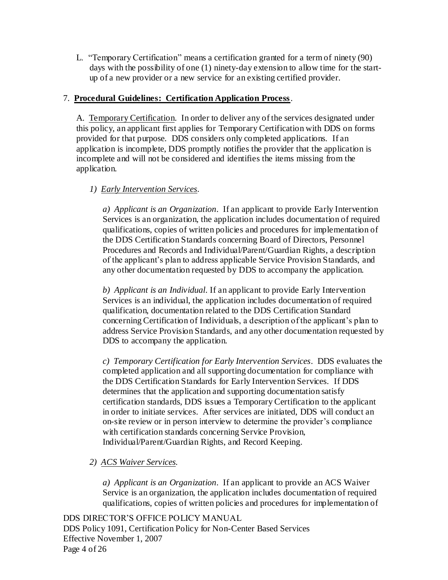L. "Temporary Certification" means a certification granted for a term of ninety (90) days with the possibility of one (1) ninety-day extension to allow time for the startup of a new provider or a new service for an existing certified provider.

### 7. **Procedural Guidelines: Certification Application Process**.

A. Temporary Certification. In order to deliver any of the services designated under this policy, an applicant first applies for Temporary Certification with DDS on forms provided for that purpose. DDS considers only completed applications. If an application is incomplete, DDS promptly notifies the provider that the application is incomplete and will not be considered and identifies the items missing from the application.

# *1) Early Intervention Services*.

*a) Applicant is an Organization*. If an applicant to provide Early Intervention Services is an organization, the application includes documentation of required qualifications, copies of written policies and procedures for implementation of the DDS Certification Standards concerning Board of Directors, Personnel Procedures and Records and Individual/Parent/Guardian Rights, a description of the applicant's plan to address applicable Service Provision Standards, and any other documentation requested by DDS to accompany the application.

*b) Applicant is an Individual*. If an applicant to provide Early Intervention Services is an individual, the application includes documentation of required qualification, documentation related to the DDS Certification Standard concerning Certification of Individuals, a description of the applicant's plan to address Service Provision Standards, and any other documentation requested by DDS to accompany the application.

*c) Temporary Certification for Early Intervention Services*. DDS evaluates the completed application and all supporting documentation for compliance with the DDS Certification Standards for Early Intervention Services. If DDS determines that the application and supporting documentation satisfy certification standards, DDS issues a Temporary Certification to the applicant in order to initiate services. After services are initiated, DDS will conduct an on-site review or in person interview to determine the provider's compliance with certification standards concerning Service Provision, Individual/Parent/Guardian Rights, and Record Keeping.

# *2) ACS Waiver Services.*

*a) Applicant is an Organization*. If an applicant to provide an ACS Waiver Service is an organization, the application includes documentation of required qualifications, copies of written policies and procedures for implementation of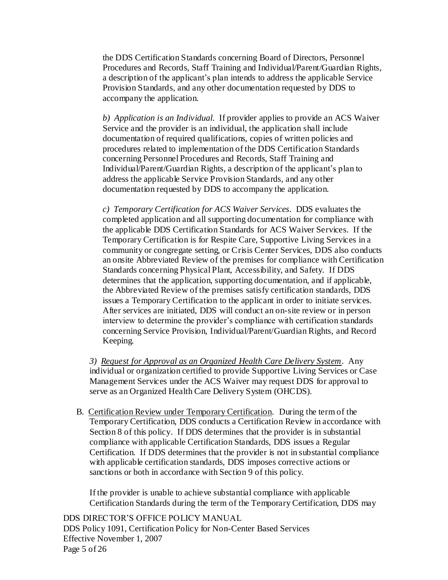the DDS Certification Standards concerning Board of Directors, Personnel Procedures and Records, Staff Training and Individual/Parent/Guardian Rights, a description of the applicant's plan intends to address the applicable Service Provision Standards, and any other documentation requested by DDS to accompany the application.

*b) Application is an Individual*. If provider applies to provide an ACS Waiver Service and the provider is an individual, the application shall include documentation of required qualifications, copies of written policies and procedures related to implementation of the DDS Certification Standards concerning Personnel Procedures and Records, Staff Training and Individual/Parent/Guardian Rights, a description of the applicant's plan to address the applicable Service Provision Standards, and any other documentation requested by DDS to accompany the application.

*c) Temporary Certification for ACS Waiver Services*. DDS evaluates the completed application and all supporting documentation for compliance with the applicable DDS Certification Standards for ACS Waiver Services. If the Temporary Certification is for Respite Care, Supportive Living Services in a community or congregate setting, or Crisis Center Services, DDS also conducts an onsite Abbreviated Review of the premises for compliance with Certification Standards concerning Physical Plant, Accessibility, and Safety. If DDS determines that the application, supporting documentation, and if applicable, the Abbreviated Review of the premises satisfy certification standards, DDS issues a Temporary Certification to the applicant in order to initiate services. After services are initiated, DDS will conduct an on-site review or in person interview to determine the provider's compliance with certification standards concerning Service Provision, Individual/Parent/Guardian Rights, and Record Keeping.

*3) Request for Approval as an Organized Health Care Delivery System*. Any individual or organization certified to provide Supportive Living Services or Case Management Services under the ACS Waiver may request DDS for approval to serve as an Organized Health Care Delivery System (OHCDS).

B. Certification Review under Temporary Certification. During the term of the Temporary Certification, DDS conducts a Certification Review in accordance with Section 8 of this policy. If DDS determines that the provider is in substantial compliance with applicable Certification Standards, DDS issues a Regular Certification. If DDS determines that the provider is not in substantial compliance with applicable certification standards, DDS imposes corrective actions or sanctions or both in accordance with Section 9 of this policy.

If the provider is unable to achieve substantial compliance with applicable Certification Standards during the term of the Temporary Certification, DDS may

DDS DIRECTOR'S OFFICE POLICY MANUAL DDS Policy 1091, Certification Policy for Non-Center Based Services Effective November 1, 2007 Page 5 of 26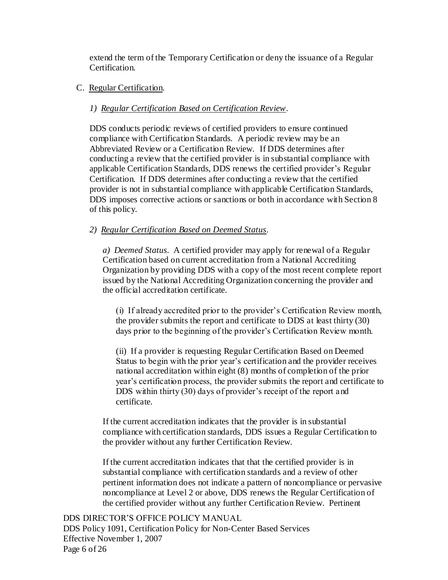extend the term of the Temporary Certification or deny the issuance of a Regular Certification.

#### C. Regular Certification.

#### *1) Regular Certification Based on Certification Review*.

DDS conducts periodic reviews of certified providers to ensure continued compliance with Certification Standards. A periodic review may be an Abbreviated Review or a Certification Review. If DDS determines after conducting a review that the certified provider is in substantial compliance with applicable Certification Standards, DDS renews the certified provider's Regular Certification. If DDS determines after conducting a review that the certified provider is not in substantial compliance with applicable Certification Standards, DDS imposes corrective actions or sanctions or both in accordance with Section 8 of this policy.

#### *2) Regular Certification Based on Deemed Status*.

*a) Deemed Status*. A certified provider may apply for renewal of a Regular Certification based on current accreditation from a National Accrediting Organization by providing DDS with a copy of the most recent complete report issued by the National Accrediting Organization concerning the provider and the official accreditation certificate.

(i) If already accredited prior to the provider's Certification Review month, the provider submits the report and certificate to DDS at least thirty (30) days prior to the beginning of the provider's Certification Review month.

(ii) If a provider is requesting Regular Certification Based on Deemed Status to begin with the prior year's certification and the provider receives national accreditation within eight (8) months of completion of the prior year's certification process, the provider submits the report and certificate to DDS within thirty (30) days of provider's receipt of the report and certificate.

If the current accreditation indicates that the provider is in substantial compliance with certification standards, DDS issues a Regular Certification to the provider without any further Certification Review.

If the current accreditation indicates that that the certified provider is in substantial compliance with certification standards and a review of other pertinent information does not indicate a pattern of noncompliance or pervasive noncompliance at Level 2 or above, DDS renews the Regular Certification of the certified provider without any further Certification Review. Pertinent

DDS DIRECTOR'S OFFICE POLICY MANUAL DDS Policy 1091, Certification Policy for Non-Center Based Services Effective November 1, 2007 Page 6 of 26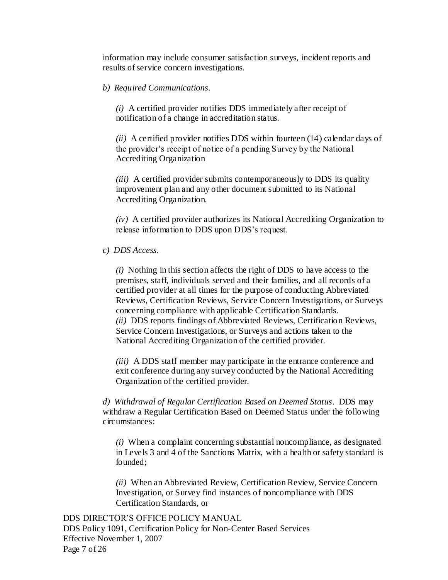information may include consumer satisfaction surveys, incident reports and results of service concern investigations.

*b) Required Communications*.

*(i)* A certified provider notifies DDS immediately after receipt of notification of a change in accreditation status.

*(ii)* A certified provider notifies DDS within fourteen (14) calendar days of the provider's receipt of notice of a pending Survey by the National Accrediting Organization

*(iii)* A certified provider submits contemporaneously to DDS its quality improvement plan and any other document submitted to its National Accrediting Organization.

*(iv)* A certified provider authorizes its National Accrediting Organization to release information to DDS upon DDS's request.

*c) DDS Access.*

*(i)* Nothing in this section affects the right of DDS to have access to the premises, staff, individuals served and their families, and all records of a certified provider at all times for the purpose of conducting Abbreviated Reviews, Certification Reviews, Service Concern Investigations, or Surveys concerning compliance with applicable Certification Standards. *(ii)* DDS reports findings of Abbreviated Reviews, Certification Reviews, Service Concern Investigations, or Surveys and actions taken to the National Accrediting Organization of the certified provider.

*(iii)* A DDS staff member may participate in the entrance conference and exit conference during any survey conducted by the National Accrediting Organization of the certified provider.

*d) Withdrawal of Regular Certification Based on Deemed Status*. DDS may withdraw a Regular Certification Based on Deemed Status under the following circumstances:

*(i)* When a complaint concerning substantial noncompliance, as designated in Levels 3 and 4 of the Sanctions Matrix, with a health or safety standard is founded;

*(ii)* When an Abbreviated Review, Certification Review, Service Concern Investigation, or Survey find instances of noncompliance with DDS Certification Standards, or

DDS DIRECTOR'S OFFICE POLICY MANUAL DDS Policy 1091, Certification Policy for Non-Center Based Services Effective November 1, 2007 Page 7 of 26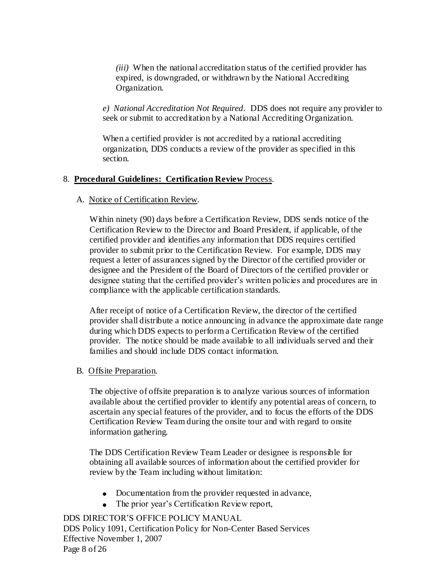*(iii)* When the national accreditation status of the certified provider has expired, is downgraded, or withdrawn by the National Accrediting Organization.

*e) National Accreditation Not Required*. DDS does not require any provider to seek or submit to accreditation by a National Accrediting Organization.

When a certified provider is not accredited by a national accrediting organization, DDS conducts a review of the provider as specified in this section.

### 8. **Procedural Guidelines: Certification Review** Process.

### A. Notice of Certification Review.

Within ninety (90) days before a Certification Review, DDS sends notice of the Certification Review to the Director and Board President, if applicable, of the certified provider and identifies any information that DDS requires certified provider to submit prior to the Certification Review. For example, DDS may request a letter of assurances signed by the Director of the certified provider or designee and the President of the Board of Directors of the certified provider or designee stating that the certified provider's written policies and procedures are in compliance with the applicable certification standards.

After receipt of notice of a Certification Review, the director of the certified provider shall distribute a notice announcing in advance the approximate date range during which DDS expects to perform a Certification Review of the certified provider. The notice should be made available to all individuals served and their families and should include DDS contact information.

### B. Offsite Preparation.

The objective of offsite preparation is to analyze various sources of information available about the certified provider to identify any potential areas of concern, to ascertain any special features of the provider, and to focus the efforts of the DDS Certification Review Team during the onsite tour and with regard to onsite information gathering.

The DDS Certification Review Team Leader or designee is responsible for obtaining all available sources of information about the certified provider for review by the Team including without limitation:

- Documentation from the provider requested in advance,
- The prior year's Certification Review report,

DDS DIRECTOR'S OFFICE POLICY MANUAL DDS Policy 1091, Certification Policy for Non-Center Based Services Effective November 1, 2007 Page 8 of 26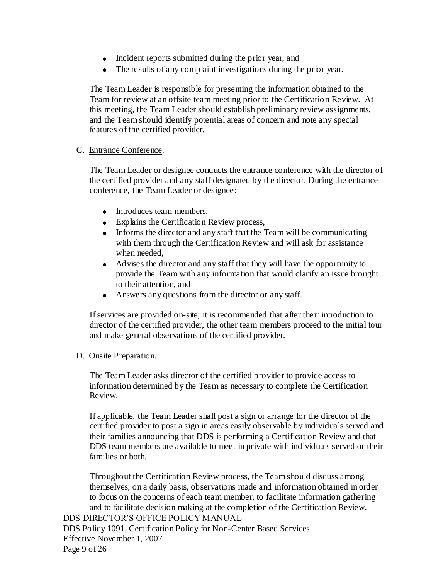- Incident reports submitted during the prior year, and
- The results of any complaint investigations during the prior year.

The Team Leader is responsible for presenting the information obtained to the Team for review at an offsite team meeting prior to the Certification Review. At this meeting, the Team Leader should establish preliminary review assignments, and the Team should identify potential areas of concern and note any special features of the certified provider.

#### C. Entrance Conference.

The Team Leader or designee conducts the entrance conference with the director of the certified provider and any staff designated by the director. During the entrance conference, the Team Leader or designee:

- Introduces team members,
- Explains the Certification Review process,
- Informs the director and any staff that the Team will be communicating with them through the Certification Review and will ask for assistance when needed,
- Advises the director and any staff that they will have the opportunity to provide the Team with any information that would clarify an issue brought to their attention, and
- Answers any questions from the director or any staff.

If services are provided on-site, it is recommended that after their introduction to director of the certified provider, the other team members proceed to the initial tour and make general observations of the certified provider.

#### D. Onsite Preparation.

The Team Leader asks director of the certified provider to provide access to information determined by the Team as necessary to complete the Certification Review.

If applicable, the Team Leader shall post a sign or arrange for the director of the certified provider to post a sign in areas easily observable by individuals served and their families announcing that DDS is performing a Certification Review and that DDS team members are available to meet in private with individuals served or their families or both.

Throughout the Certification Review process, the Team should discuss among themselves, on a daily basis, observations made and information obtained in order to focus on the concerns of each team member, to facilitate information gathering and to facilitate decision making at the completion of the Certification Review.

DDS DIRECTOR'S OFFICE POLICY MANUAL DDS Policy 1091, Certification Policy for Non-Center Based Services Effective November 1, 2007 Page 9 of 26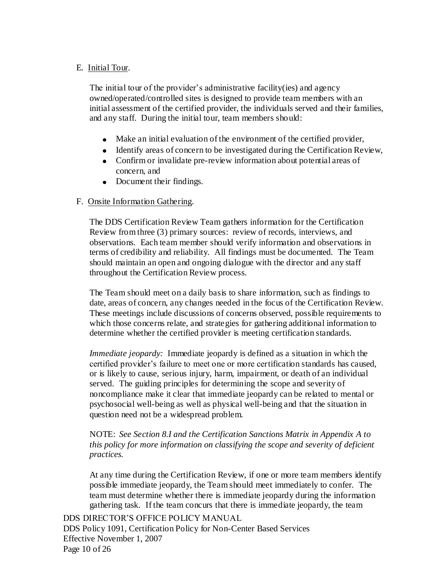#### E. Initial Tour.

The initial tour of the provider's administrative facility(ies) and agency owned/operated/controlled sites is designed to provide team members with an initial assessment of the certified provider, the individuals served and their families, and any staff. During the initial tour, team members should:

- Make an initial evaluation of the environment of the certified provider,
- $\bullet$  Identify areas of concern to be investigated during the Certification Review,
- Confirm or invalidate pre-review information about potential areas of concern, and
- Document their findings.

#### F. Onsite Information Gathering.

The DDS Certification Review Team gathers information for the Certification Review from three (3) primary sources: review of records, interviews, and observations. Each team member should verify information and observations in terms of credibility and reliability. All findings must be documented. The Team should maintain an open and ongoing dialogue with the director and any staff throughout the Certification Review process.

The Team should meet on a daily basis to share information, such as findings to date, areas of concern, any changes needed in the focus of the Certification Review. These meetings include discussions of concerns observed, possible requirements to which those concerns relate, and strategies for gathering additional information to determine whether the certified provider is meeting certification standards.

*Immediate jeopardy:* Immediate jeopardy is defined as a situation in which the certified provider's failure to meet one or more certification standards has caused, or is likely to cause, serious injury, harm, impairment, or death of an individual served. The guiding principles for determining the scope and severity of noncompliance make it clear that immediate jeopardy can be related to mental or psychosocial well-being as well as physical well-being and that the situation in question need not be a widespread problem.

NOTE: *See Section 8.I and the Certification Sanctions Matrix in Appendix A to this policy for more information on classifying the scope and severity of deficient practices.*

At any time during the Certification Review, if one or more team members identify possible immediate jeopardy, the Team should meet immediately to confer. The team must determine whether there is immediate jeopardy during the information gathering task. If the team concurs that there is immediate jeopardy, the team

DDS DIRECTOR'S OFFICE POLICY MANUAL DDS Policy 1091, Certification Policy for Non-Center Based Services Effective November 1, 2007 Page 10 of 26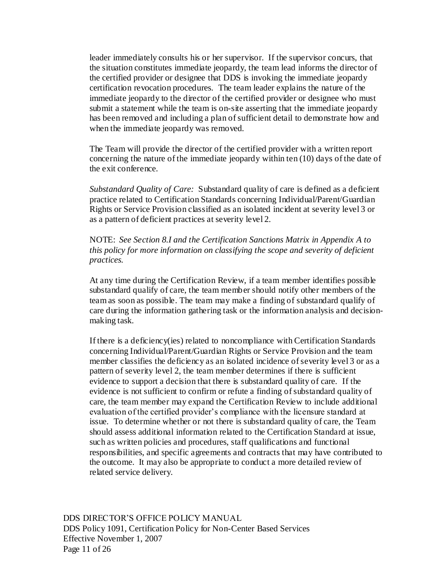leader immediately consults his or her supervisor. If the supervisor concurs, that the situation constitutes immediate jeopardy, the team lead informs the director of the certified provider or designee that DDS is invoking the immediate jeopardy certification revocation procedures. The team leader explains the nature of the immediate jeopardy to the director of the certified provider or designee who must submit a statement while the team is on-site asserting that the immediate jeopardy has been removed and including a plan of sufficient detail to demonstrate how and when the immediate jeopardy was removed.

The Team will provide the director of the certified provider with a written report concerning the nature of the immediate jeopardy within ten (10) days of the date of the exit conference.

*Substandard Quality of Care:* Substandard quality of care is defined as a deficient practice related to Certification Standards concerning Individual/Parent/Guardian Rights or Service Provision classified as an isolated incident at severity level 3 or as a pattern of deficient practices at severity level 2.

NOTE: *See Section 8.I and the Certification Sanctions Matrix in Appendix A to this policy for more information on classifying the scope and severity of deficient practices.*

At any time during the Certification Review, if a team member identifies possible substandard qualify of care, the team member should notify other members of the team as soon as possible. The team may make a finding of substandard qualify of care during the information gathering task or the information analysis and decisionmaking task.

If there is a deficiency(ies) related to noncompliance with Certification Standards concerning Individual/Parent/Guardian Rights or Service Provision and the team member classifies the deficiency as an isolated incidence of severity level 3 or as a pattern of severity level 2, the team member determines if there is sufficient evidence to support a decision that there is substandard quality of care. If the evidence is not sufficient to confirm or refute a finding of substandard quality of care, the team member may expand the Certification Review to include additional evaluation of the certified provider's compliance with the licensure standard at issue. To determine whether or not there is substandard quality of care, the Team should assess additional information related to the Certification Standard at issue, such as written policies and procedures, staff qualifications and functional responsibilities, and specific agreements and contracts that may have contributed to the outcome. It may also be appropriate to conduct a more detailed review of related service delivery.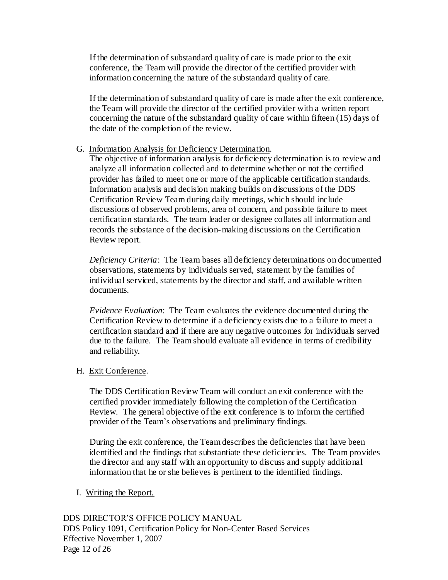If the determination of substandard quality of care is made prior to the exit conference, the Team will provide the director of the certified provider with information concerning the nature of the substandard quality of care.

If the determination of substandard quality of care is made after the exit conference, the Team will provide the director of the certified provider with a written report concerning the nature of the substandard quality of care within fifteen (15) days of the date of the completion of the review.

#### G. Information Analysis for Deficiency Determination.

The objective of information analysis for deficiency determination is to review and analyze all information collected and to determine whether or not the certified provider has failed to meet one or more of the applicable certification standards. Information analysis and decision making builds on discussions of the DDS Certification Review Team during daily meetings, which should include discussions of observed problems, area of concern, and possible failure to meet certification standards. The team leader or designee collates all information and records the substance of the decision-making discussions on the Certification Review report.

*Deficiency Criteria*: The Team bases all deficiency determinations on documented observations, statements by individuals served, statement by the families of individual serviced, statements by the director and staff, and available written documents.

*Evidence Evaluation*: The Team evaluates the evidence documented during the Certification Review to determine if a deficiency exists due to a failure to meet a certification standard and if there are any negative outcomes for individuals served due to the failure. The Team should evaluate all evidence in terms of credibility and reliability.

### H. Exit Conference.

The DDS Certification Review Team will conduct an exit conference with the certified provider immediately following the completion of the Certification Review. The general objective of the exit conference is to inform the certified provider of the Team's observations and preliminary findings.

During the exit conference, the Team describes the deficiencies that have been identified and the findings that substantiate these deficiencies. The Team provides the director and any staff with an opportunity to discuss and supply additional information that he or she believes is pertinent to the identified findings.

### I. Writing the Report.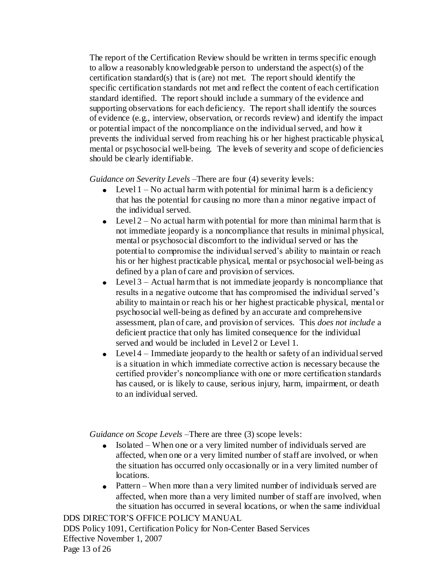The report of the Certification Review should be written in terms specific enough to allow a reasonably knowledgeable person to understand the aspect(s) of the certification standard(s) that is (are) not met. The report should identify the specific certification standards not met and reflect the content of each certification standard identified. The report should include a summary of the evidence and supporting observations for each deficiency. The report shall identify the sources of evidence (e.g., interview, observation, or records review) and identify the impact or potential impact of the noncompliance on the individual served, and how it prevents the individual served from reaching his or her highest practicable physical, mental or psychosocial well-being. The levels of severity and scope of deficiencies should be clearly identifiable.

*Guidance on Severity Levels* – There are four (4) severity levels:

- Evel  $1 No$  actual harm with potential for minimal harm is a deficiency that has the potential for causing no more than a minor negative impact of the individual served.
- Eevel  $2 No$  actual harm with potential for more than minimal harm that is not immediate jeopardy is a noncompliance that results in minimal physical, mental or psychosocial discomfort to the individual served or has the potential to compromise the individual served's ability to maintain or reach his or her highest practicable physical, mental or psychosocial well-being as defined by a plan of care and provision of services.
- Eevel  $3$  Actual harm that is not immediate jeopardy is noncompliance that results in a negative outcome that has compromised the individual served's ability to maintain or reach his or her highest practicable physical, mental or psychosocial well-being as defined by an accurate and comprehensive assessment, plan of care, and provision of services. This *does not include* a deficient practice that only has limited consequence for the individual served and would be included in Level 2 or Level 1.
- Level 4 Immediate jeopardy to the health or safety of an individual served is a situation in which immediate corrective action is necessary because the certified provider's noncompliance with one or more certification standards has caused, or is likely to cause, serious injury, harm, impairment, or death to an individual served.

*Guidance on Scope Levels* – There are three (3) scope levels:

- Isolated When one or a very limited number of individuals served are affected, when one or a very limited number of staff are involved, or when the situation has occurred only occasionally or in a very limited number of locations.
- Pattern When more than a very limited number of individuals served are affected, when more than a very limited number of staff are involved, when the situation has occurred in several locations, or when the same individual

DDS DIRECTOR'S OFFICE POLICY MANUAL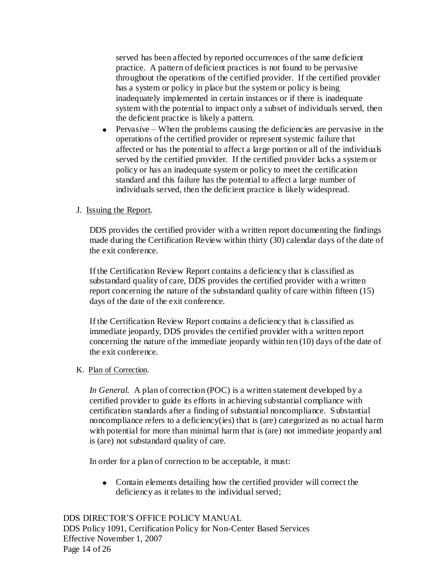served has been affected by reported occurrences of the same deficient practice. A pattern of deficient practices is not found to be pervasive throughout the operations of the certified provider. If the certified provider has a system or policy in place but the system or policy is being inadequately implemented in certain instances or if there is inadequate system with the potential to impact only a subset of individuals served, then the deficient practice is likely a pattern.

 $\bullet$  Pervasive – When the problems causing the deficiencies are pervasive in the operations of the certified provider or represent systemic failure that affected or has the potential to affect a large portion or all of the individuals served by the certified provider. If the certified provider lacks a system or policy or has an inadequate system or policy to meet the certification standard and this failure has the potential to affect a large number of individuals served, then the deficient practice is likely widespread.

# J. Issuing the Report.

DDS provides the certified provider with a written report documenting the findings made during the Certification Review within thirty (30) calendar days of the date of the exit conference.

If the Certification Review Report contains a deficiency that is classified as substandard quality of care, DDS provides the certified provider with a written report concerning the nature of the substandard quality of care within fifteen (15) days of the date of the exit conference.

If the Certification Review Report contains a deficiency that is classified as immediate jeopardy, DDS provides the certified provider with a written report concerning the nature of the immediate jeopardy within ten (10) days of the date of the exit conference.

### K. Plan of Correction.

*In General.* A plan of correction (POC) is a written statement developed by a certified provider to guide its efforts in achieving substantial compliance with certification standards after a finding of substantial noncompliance. Substantial noncompliance refers to a deficiency(ies) that is (are) categorized as no actual harm with potential for more than minimal harm that is (are) not immediate jeopardy and is (are) not substandard quality of care.

In order for a plan of correction to be acceptable, it must:

Contain elements detailing how the certified provider will correct the deficiency as it relates to the individual served;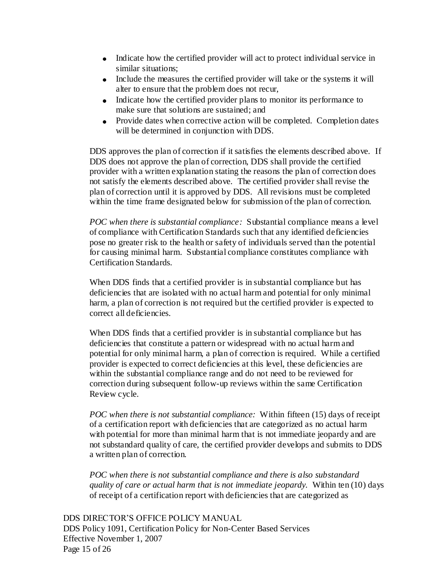- Indicate how the certified provider will act to protect individual service in similar situations;
- Include the measures the certified provider will take or the systems it will alter to ensure that the problem does not recur,
- Indicate how the certified provider plans to monitor its performance to make sure that solutions are sustained; and
- Provide dates when corrective action will be completed. Completion dates will be determined in conjunction with DDS.

DDS approves the plan of correction if it satisfies the elements described above. If DDS does not approve the plan of correction, DDS shall provide the certified provider with a written explanation stating the reasons the plan of correction does not satisfy the elements described above. The certified provider shall revise the plan of correction until it is approved by DDS. All revisions must be completed within the time frame designated below for submission of the plan of correction.

*POC when there is substantial compliance:* Substantial compliance means a level of compliance with Certification Standards such that any identified deficiencies pose no greater risk to the health or safety of individuals served than the potential for causing minimal harm. Substantial compliance constitutes compliance with Certification Standards.

When DDS finds that a certified provider is in substantial compliance but has deficiencies that are isolated with no actual harm and potential for only minimal harm, a plan of correction is not required but the certified provider is expected to correct all deficiencies.

When DDS finds that a certified provider is in substantial compliance but has deficiencies that constitute a pattern or widespread with no actual harm and potential for only minimal harm, a plan of correction is required. While a certified provider is expected to correct deficiencies at this level, these deficiencies are within the substantial compliance range and do not need to be reviewed for correction during subsequent follow-up reviews within the same Certification Review cycle.

*POC when there is not substantial compliance:* Within fifteen (15) days of receipt of a certification report with deficiencies that are categorized as no actual harm with potential for more than minimal harm that is not immediate jeopardy and are not substandard quality of care, the certified provider develops and submits to DDS a written plan of correction.

*POC when there is not substantial compliance and there is also substandard quality of care or actual harm that is not immediate jeopardy.* Within ten (10) days of receipt of a certification report with deficiencies that are categorized as

DDS DIRECTOR'S OFFICE POLICY MANUAL DDS Policy 1091, Certification Policy for Non-Center Based Services Effective November 1, 2007 Page 15 of 26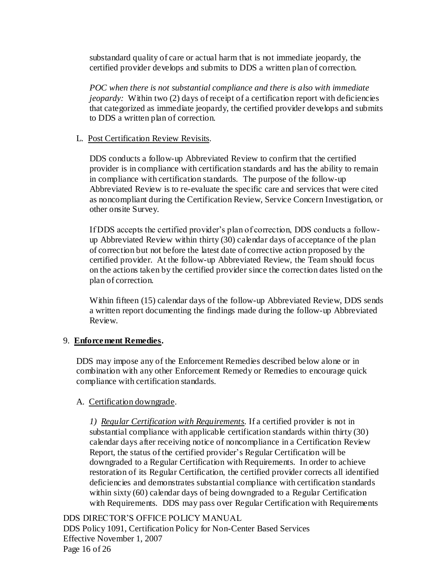substandard quality of care or actual harm that is not immediate jeopardy, the certified provider develops and submits to DDS a written plan of correction.

*POC when there is not substantial compliance and there is also with immediate jeopardy:* Within two (2) days of receipt of a certification report with deficiencies that categorized as immediate jeopardy, the certified provider develops and submits to DDS a written plan of correction.

#### L. Post Certification Review Revisits.

DDS conducts a follow-up Abbreviated Review to confirm that the certified provider is in compliance with certification standards and has the ability to remain in compliance with certification standards. The purpose of the follow-up Abbreviated Review is to re-evaluate the specific care and services that were cited as noncompliant during the Certification Review, Service Concern Investigation, or other onsite Survey.

If DDS accepts the certified provider's plan of correction, DDS conducts a followup Abbreviated Review within thirty (30) calendar days of acceptance of the plan of correction but not before the latest date of corrective action proposed by the certified provider. At the follow-up Abbreviated Review, the Team should focus on the actions taken by the certified provider since the correction dates listed on the plan of correction.

Within fifteen (15) calendar days of the follow-up Abbreviated Review, DDS sends a written report documenting the findings made during the follow-up Abbreviated Review.

### 9. **Enforcement Remedies.**

DDS may impose any of the Enforcement Remedies described below alone or in combination with any other Enforcement Remedy or Remedies to encourage quick compliance with certification standards.

### A. Certification downgrade.

*1) Regular Certification with Requirements.* If a certified provider is not in substantial compliance with applicable certification standards within thirty (30) calendar days after receiving notice of noncompliance in a Certification Review Report, the status of the certified provider's Regular Certification will be downgraded to a Regular Certification with Requirements. In order to achieve restoration of its Regular Certification, the certified provider corrects all identified deficiencies and demonstrates substantial compliance with certification standards within sixty (60) calendar days of being downgraded to a Regular Certification with Requirements. DDS may pass over Regular Certification with Requirements

DDS DIRECTOR'S OFFICE POLICY MANUAL DDS Policy 1091, Certification Policy for Non-Center Based Services Effective November 1, 2007 Page 16 of 26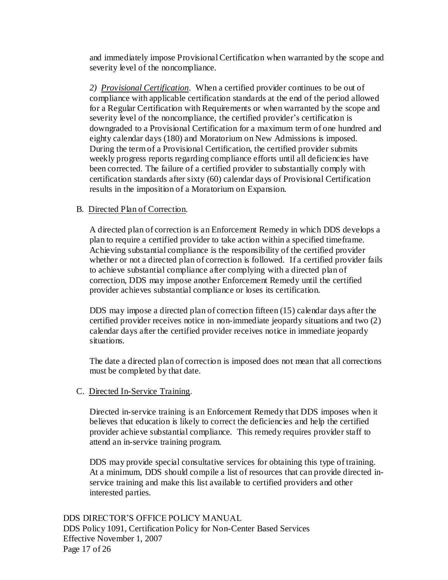and immediately impose Provisional Certification when warranted by the scope and severity level of the noncompliance.

*2) Provisional Certification.* When a certified provider continues to be out of compliance with applicable certification standards at the end of the period allowed for a Regular Certification with Requirements or when warranted by the scope and severity level of the noncompliance, the certified provider's certification is downgraded to a Provisional Certification for a maximum term of one hundred and eighty calendar days (180) and Moratorium on New Admissions is imposed. During the term of a Provisional Certification, the certified provider submits weekly progress reports regarding compliance efforts until all deficiencies have been corrected. The failure of a certified provider to substantially comply with certification standards after sixty (60) calendar days of Provisional Certification results in the imposition of a Moratorium on Expansion.

#### B. Directed Plan of Correction.

A directed plan of correction is an Enforcement Remedy in which DDS develops a plan to require a certified provider to take action within a specified timeframe. Achieving substantial compliance is the responsibility of the certified provider whether or not a directed plan of correction is followed. If a certified provider fails to achieve substantial compliance after complying with a directed plan of correction, DDS may impose another Enforcement Remedy until the certified provider achieves substantial compliance or loses its certification.

DDS may impose a directed plan of correction fifteen (15) calendar days after the certified provider receives notice in non-immediate jeopardy situations and two (2) calendar days after the certified provider receives notice in immediate jeopardy situations.

The date a directed plan of correction is imposed does not mean that all corrections must be completed by that date.

#### C. Directed In-Service Training.

Directed in-service training is an Enforcement Remedy that DDS imposes when it believes that education is likely to correct the deficiencies and help the certified provider achieve substantial compliance. This remedy requires provider staff to attend an in-service training program.

DDS may provide special consultative services for obtaining this type of training. At a minimum, DDS should compile a list of resources that can provide directed inservice training and make this list available to certified providers and other interested parties.

DDS DIRECTOR'S OFFICE POLICY MANUAL DDS Policy 1091, Certification Policy for Non-Center Based Services Effective November 1, 2007 Page 17 of 26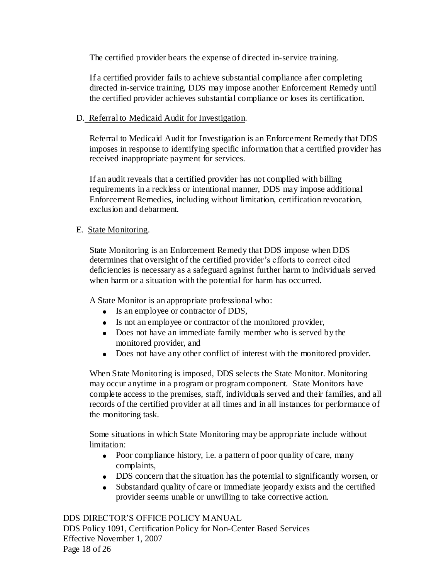The certified provider bears the expense of directed in-service training.

If a certified provider fails to achieve substantial compliance after completing directed in-service training, DDS may impose another Enforcement Remedy until the certified provider achieves substantial compliance or loses its certification.

### D. Referral to Medicaid Audit for Investigation.

Referral to Medicaid Audit for Investigation is an Enforcement Remedy that DDS imposes in response to identifying specific information that a certified provider has received inappropriate payment for services.

If an audit reveals that a certified provider has not complied with billing requirements in a reckless or intentional manner, DDS may impose additional Enforcement Remedies, including without limitation, certification revocation, exclusion and debarment.

# E. State Monitoring.

State Monitoring is an Enforcement Remedy that DDS impose when DDS determines that oversight of the certified provider's efforts to correct cited deficiencies is necessary as a safeguard against further harm to individuals served when harm or a situation with the potential for harm has occurred.

A State Monitor is an appropriate professional who:

- Is an employee or contractor of DDS,
- Is not an employee or contractor of the monitored provider,
- Does not have an immediate family member who is served by the monitored provider, and
- Does not have any other conflict of interest with the monitored provider.

When State Monitoring is imposed, DDS selects the State Monitor. Monitoring may occur anytime in a program or program component. State Monitors have complete access to the premises, staff, individuals served and their families, and all records of the certified provider at all times and in all instances for performance of the monitoring task.

Some situations in which State Monitoring may be appropriate include without limitation:

- Poor compliance history, i.e. a pattern of poor quality of care, many complaints,
- DDS concern that the situation has the potential to significantly worsen, or
- Substandard quality of care or immediate jeopardy exists and the certified provider seems unable or unwilling to take corrective action.

DDS DIRECTOR'S OFFICE POLICY MANUAL DDS Policy 1091, Certification Policy for Non-Center Based Services Effective November 1, 2007 Page 18 of 26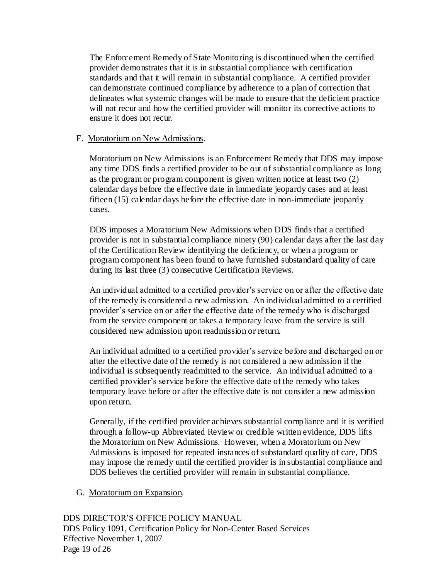The Enforcement Remedy of State Monitoring is discontinued when the certified provider demonstrates that it is in substantial compliance with certification standards and that it will remain in substantial compliance. A certified provider can demonstrate continued compliance by adherence to a plan of correction that delineates what systemic changes will be made to ensure that the deficient practice will not recur and how the certified provider will monitor its corrective actions to ensure it does not recur.

#### F. Moratorium on New Admissions.

Moratorium on New Admissions is an Enforcement Remedy that DDS may impose any time DDS finds a certified provider to be out of substantial compliance as long as the program or program component is given written notice at least two (2) calendar days before the effective date in immediate jeopardy cases and at least fifteen (15) calendar days before the effective date in non-immediate jeopardy cases.

DDS imposes a Moratorium New Admissions when DDS finds that a certified provider is not in substantial compliance ninety (90) calendar days after the last day of the Certification Review identifying the deficiency, or when a program or program component has been found to have furnished substandard quality of care during its last three (3) consecutive Certification Reviews.

An individual admitted to a certified provider's service on or after the effective date of the remedy is considered a new admission. An individual admitted to a certified provider's service on or after the effective date of the remedy who is discharged from the service component or takes a temporary leave from the service is still considered new admission upon readmission or return.

An individual admitted to a certified provider's service before and discharged on or after the effective date of the remedy is not considered a new admission if the individual is subsequently readmitted to the service. An individual admitted to a certified provider's service before the effective date of the remedy who takes temporary leave before or after the effective date is not consider a new admission upon return.

Generally, if the certified provider achieves substantial compliance and it is verified through a follow-up Abbreviated Review or credible written evidence, DDS lifts the Moratorium on New Admissions. However, when a Moratorium on New Admissions is imposed for repeated instances of substandard quality of care, DDS may impose the remedy until the certified provider is in substantial compliance and DDS believes the certified provider will remain in substantial compliance.

G. Moratorium on Expansion.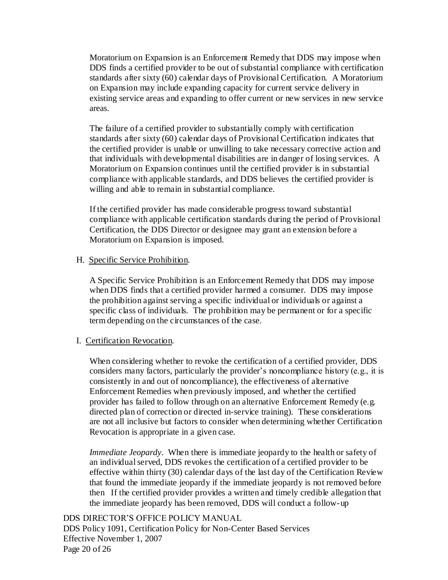Moratorium on Expansion is an Enforcement Remedy that DDS may impose when DDS finds a certified provider to be out of substantial compliance with certification standards after sixty (60) calendar days of Provisional Certification. A Moratorium on Expansion may include expanding capacity for current service delivery in existing service areas and expanding to offer current or new services in new service areas.

The failure of a certified provider to substantially comply with certification standards after sixty (60) calendar days of Provisional Certification indicates that the certified provider is unable or unwilling to take necessary corrective action and that individuals with developmental disabilities are in danger of losing services. A Moratorium on Expansion continues until the certified provider is in substantial compliance with applicable standards, and DDS believes the certified provider is willing and able to remain in substantial compliance.

If the certified provider has made considerable progress toward substantial compliance with applicable certification standards during the period of Provisional Certification, the DDS Director or designee may grant an extension before a Moratorium on Expansion is imposed.

#### H. Specific Service Prohibition.

A Specific Service Prohibition is an Enforcement Remedy that DDS may impose when DDS finds that a certified provider harmed a consumer. DDS may impose the prohibition against serving a specific individual or individuals or against a specific class of individuals. The prohibition may be permanent or for a specific term depending on the circumstances of the case.

#### I. Certification Revocation.

When considering whether to revoke the certification of a certified provider, DDS considers many factors, particularly the provider's noncompliance history (e.g., it is consistently in and out of noncompliance), the effectiveness of alternative Enforcement Remedies when previously imposed, and whether the certified provider has failed to follow through on an alternative Enforcement Remedy (e.g. directed plan of correction or directed in-service training). These considerations are not all inclusive but factors to consider when determining whether Certification Revocation is appropriate in a given case.

*Immediate Jeopardy*. When there is immediate jeopardy to the health or safety of an individual served, DDS revokes the certification of a certified provider to be effective within thirty (30) calendar days of the last day of the Certification Review that found the immediate jeopardy if the immediate jeopardy is not removed before then If the certified provider provides a written and timely credible allegation that the immediate jeopardy has been removed, DDS will conduct a follow-up

DDS DIRECTOR'S OFFICE POLICY MANUAL DDS Policy 1091, Certification Policy for Non-Center Based Services Effective November 1, 2007 Page 20 of 26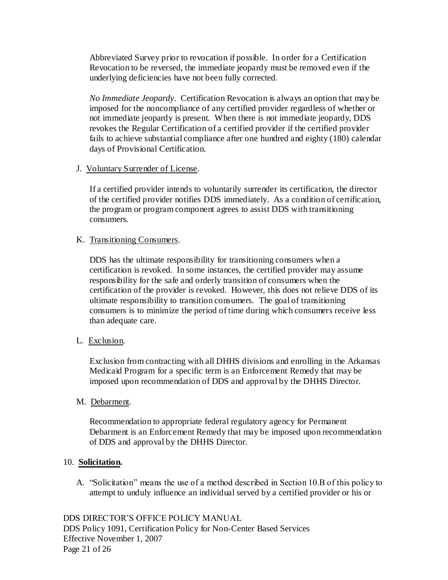Abbreviated Survey prior to revocation if possible. In order for a Certification Revocation to be reversed, the immediate jeopardy must be removed even if the underlying deficiencies have not been fully corrected.

*No Immediate Jeopardy*. Certification Revocation is always an option that may be imposed for the noncompliance of any certified provider regardless of whether or not immediate jeopardy is present. When there is not immediate jeopardy, DDS revokes the Regular Certification of a certified provider if the certified provider fails to achieve substantial compliance after one hundred and eighty (180) calendar days of Provisional Certification.

### J. Voluntary Surrender of License.

If a certified provider intends to voluntarily surrender its certification, the director of the certified provider notifies DDS immediately. As a condition of certification, the program or program component agrees to assist DDS with transitioning consumers.

#### K. Transitioning Consumers.

DDS has the ultimate responsibility for transitioning consumers when a certification is revoked. In some instances, the certified provider may assume responsibility for the safe and orderly transition of consumers when the certification of the provider is revoked. However, this does not relieve DDS of its ultimate responsibility to transition consumers. The goal of transitioning consumers is to minimize the period of time during which consumers receive less than adequate care.

L. Exclusion.

Exclusion from contracting with all DHHS divisions and enrolling in the Arkansas Medicaid Program for a specific term is an Enforcement Remedy that may be imposed upon recommendation of DDS and approval by the DHHS Director.

M. Debarment.

Recommendation to appropriate federal regulatory agency for Permanent Debarment is an Enforcement Remedy that may be imposed upon recommendation of DDS and approval by the DHHS Director.

### 10. **Solicitation.**

A. "Solicitation" means the use of a method described in Section 10.B of this policy to attempt to unduly influence an individual served by a certified provider or his or

DDS DIRECTOR'S OFFICE POLICY MANUAL DDS Policy 1091, Certification Policy for Non-Center Based Services Effective November 1, 2007 Page 21 of 26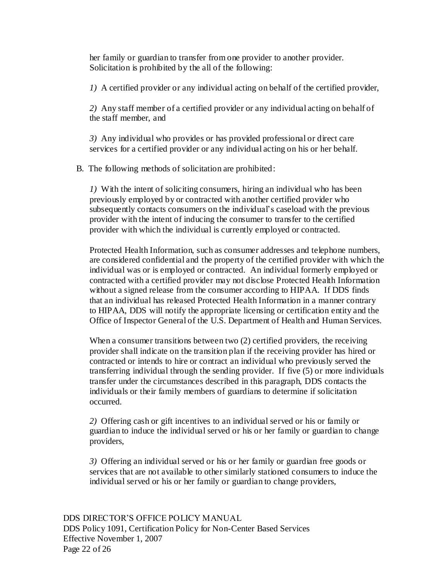her family or guardian to transfer from one provider to another provider. Solicitation is prohibited by the all of the following:

*1)* A certified provider or any individual acting on behalf of the certified provider,

*2)* Any staff member of a certified provider or any individual acting on behalf of the staff member, and

*3)* Any individual who provides or has provided professional or direct care services for a certified provider or any individual acting on his or her behalf.

B. The following methods of solicitation are prohibited:

*1)* With the intent of soliciting consumers, hiring an individual who has been previously employed by or contracted with another certified provider who subsequently contacts consumers on the individual's caseload with the previous provider with the intent of inducing the consumer to transfer to the certified provider with which the individual is currently employed or contracted.

Protected Health Information, such as consumer addresses and telephone numbers, are considered confidential and the property of the certified provider with which the individual was or is employed or contracted. An individual formerly employed or contracted with a certified provider may not disclose Protected Health Information without a signed release from the consumer according to HIPAA. If DDS finds that an individual has released Protected Health Information in a manner contrary to HIPAA, DDS will notify the appropriate licensing or certification entity and the Office of Inspector General of the U.S. Department of Health and Human Services.

When a consumer transitions between two (2) certified providers, the receiving provider shall indicate on the transition plan if the receiving provider has hired or contracted or intends to hire or contract an individual who previously served the transferring individual through the sending provider. If five (5) or more individuals transfer under the circumstances described in this paragraph, DDS contacts the individuals or their family members of guardians to determine if solicitation occurred.

*2)* Offering cash or gift incentives to an individual served or his or family or guardian to induce the individual served or his or her family or guardian to change providers,

*3)* Offering an individual served or his or her family or guardian free goods or services that are not available to other similarly stationed consumers to induce the individual served or his or her family or guardian to change providers,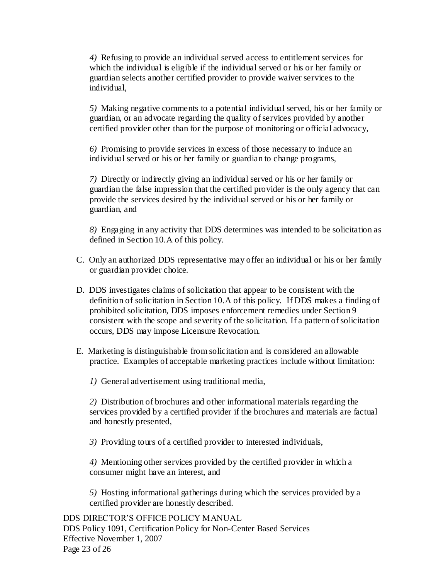*4)* Refusing to provide an individual served access to entitlement services for which the individual is eligible if the individual served or his or her family or guardian selects another certified provider to provide waiver services to the individual,

*5)* Making negative comments to a potential individual served, his or her family or guardian, or an advocate regarding the quality of services provided by another certified provider other than for the purpose of monitoring or official advocacy,

*6)* Promising to provide services in excess of those necessary to induce an individual served or his or her family or guardian to change programs,

*7)* Directly or indirectly giving an individual served or his or her family or guardian the false impression that the certified provider is the only agency that can provide the services desired by the individual served or his or her family or guardian, and

*8)* Engaging in any activity that DDS determines was intended to be solicitation as defined in Section 10.A of this policy.

- C. Only an authorized DDS representative may offer an individual or his or her family or guardian provider choice.
- D. DDS investigates claims of solicitation that appear to be consistent with the definition of solicitation in Section 10.A of this policy. If DDS makes a finding of prohibited solicitation, DDS imposes enforcement remedies under Section 9 consistent with the scope and severity of the solicitation. If a pattern of solicitation occurs, DDS may impose Licensure Revocation.
- E. Marketing is distinguishable from solicitation and is considered an allowable practice. Examples of acceptable marketing practices include without limitation:
	- *1)* General advertisement using traditional media,

*2)* Distribution of brochures and other informational materials regarding the services provided by a certified provider if the brochures and materials are factual and honestly presented,

*3)* Providing tours of a certified provider to interested individuals,

*4)* Mentioning other services provided by the certified provider in which a consumer might have an interest, and

*5)* Hosting informational gatherings during which the services provided by a certified provider are honestly described.

DDS DIRECTOR'S OFFICE POLICY MANUAL DDS Policy 1091, Certification Policy for Non-Center Based Services Effective November 1, 2007 Page 23 of 26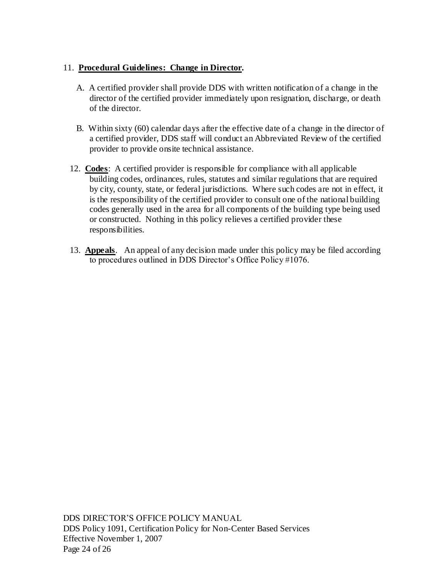### 11. **Procedural Guidelines: Change in Director.**

- A. A certified provider shall provide DDS with written notification of a change in the director of the certified provider immediately upon resignation, discharge, or death of the director.
- B. Within sixty (60) calendar days after the effective date of a change in the director of a certified provider, DDS staff will conduct an Abbreviated Review of the certified provider to provide onsite technical assistance.
- 12. **Codes**: A certified provider is responsible for compliance with all applicable building codes, ordinances, rules, statutes and similar regulations that are required by city, county, state, or federal jurisdictions. Where such codes are not in effect, it is the responsibility of the certified provider to consult one of the national building codes generally used in the area for all components of the building type being used or constructed. Nothing in this policy relieves a certified provider these responsibilities.
- 13. **Appeals**. An appeal of any decision made under this policy may be filed according to procedures outlined in DDS Director's Office Policy #1076.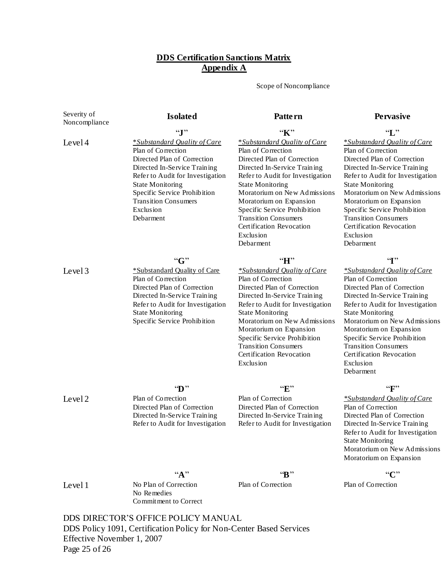#### **DDS Certification Sanctions Matrix Appendix A**

Scope of Noncompliance

Severity of Noncompliance

#### Level 4

Level 3

"**J**" \**Substandard Quality of Care* Plan of Correction Directed Plan of Correction Directed In-Service Training Refer to Audit for Investigation State Monitoring Specific Service Prohibition Transition Consumers Exclusion Debarment

"**G**" \*Substandard Quality of Care

Directed Plan of Correction Directed In-Service Training Refer to Audit for Investigation

Specific Service Prohibition

Plan of Correction

State Monitoring

# "**K**"

#### \**Substandard Quality of Care* Plan of Correction Directed Plan of Correction Directed In-Service Training Refer to Audit for Investigation State Monitoring Moratorium on New Admissions Moratorium on Expansion Specific Service Prohibition Transition Consumers Certification Revocation Exclusion Debarment

#### "**H**"

*\*Substandard Quality of Care* Plan of Correction Directed Plan of Correction Directed In-Service Training Refer to Audit for Investigation State Monitoring Moratorium on New Admissions Moratorium on Expansion Specific Service Prohibition Transition Consumers Certification Revocation Exclusion

Level 2

#### "**D**" Plan of Correction Directed Plan of Correction Directed In-Service Training Refer to Audit for Investigation

#### "**E**"

Plan of Correction Directed Plan of Correction Directed In-Service Training Refer to Audit for Investigation

**Isolated Pattern Pervasive** "**L**"

> \**Substandard Quality of Care* Plan of Correction Directed Plan of Correction Directed In-Service Training Refer to Audit for Investigation State Monitoring Moratorium on New Admissions Moratorium on Expansion Specific Service Prohibition Transition Consumers Certification Revocation Exclusion Debarment

#### "**I**"

*\*Substandard Quality of Care* Plan of Correction Directed Plan of Correction Directed In-Service Training Refer to Audit for Investigation State Monitoring Moratorium on New Admissions Moratorium on Expansion Specific Service Prohibition Transition Consumers Certification Revocation Exclusion Debarment

#### "**F**"

*\*Substandard Quality of Care* Plan of Correction Directed Plan of Correction Directed In-Service Training Refer to Audit for Investigation State Monitoring Moratorium on New Admissions Moratorium on Expansion

 $``C"$ 

Plan of Correction

Level 1

No Plan of Correction No Remedies Commitment to Correct

"**B**" Plan of Correction

DDS DIRECTOR'S OFFICE POLICY MANUAL DDS Policy 1091, Certification Policy for Non-Center Based Services Effective November 1, 2007 Page 25 of 26

"**A**"